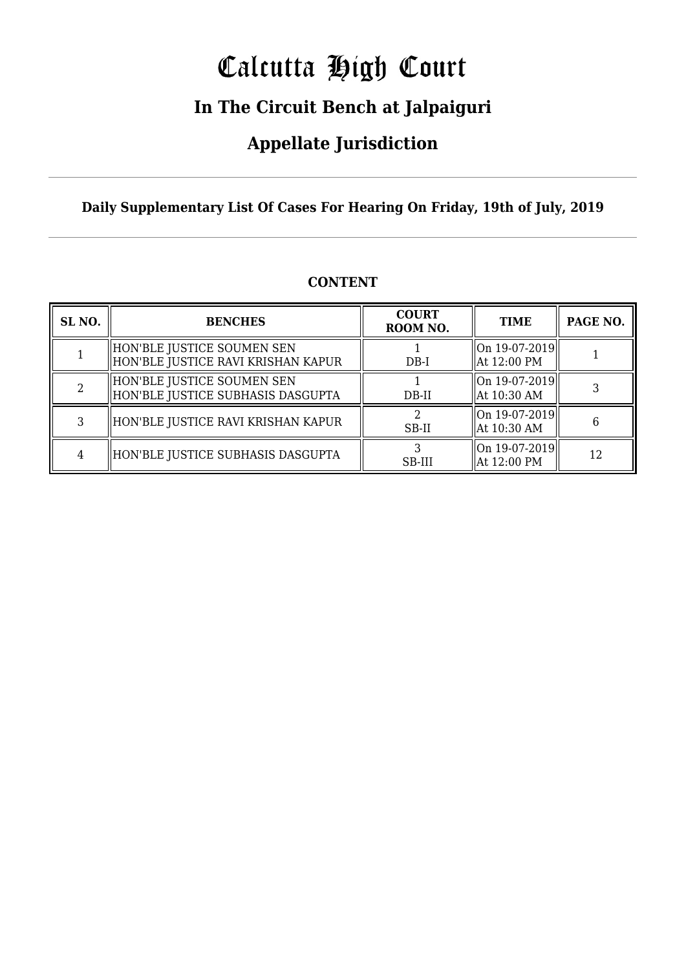# Calcutta High Court

### **In The Circuit Bench at Jalpaiguri**

### **Appellate Jurisdiction**

#### **Daily Supplementary List Of Cases For Hearing On Friday, 19th of July, 2019**

| SL <sub>NO.</sub> | <b>BENCHES</b>                                                   | <b>COURT</b><br>ROOM NO. | <b>TIME</b>                                                 | PAGE NO. |
|-------------------|------------------------------------------------------------------|--------------------------|-------------------------------------------------------------|----------|
|                   | HON'BLE JUSTICE SOUMEN SEN<br>HON'BLE JUSTICE RAVI KRISHAN KAPUR | $DB-I$                   | $\left\  \text{On } 19 - 07 - 2019 \right\ $<br>At 12:00 PM |          |
|                   | HON'BLE JUSTICE SOUMEN SEN<br>HON'BLE JUSTICE SUBHASIS DASGUPTA  | DB-II                    | $\ $ On 19-07-2019 $\ $<br>$\parallel$ At 10:30 AM          |          |
|                   | HON'BLE JUSTICE RAVI KRISHAN KAPUR                               | SB-II                    | On 19-07-2019  <br>At 10:30 AM                              |          |
|                   | HON'BLE JUSTICE SUBHASIS DASGUPTA                                | SB-III                   | $\ $ On 19-07-2019 $\ $<br>$\parallel$ At 12:00 PM          | 12       |

#### **CONTENT**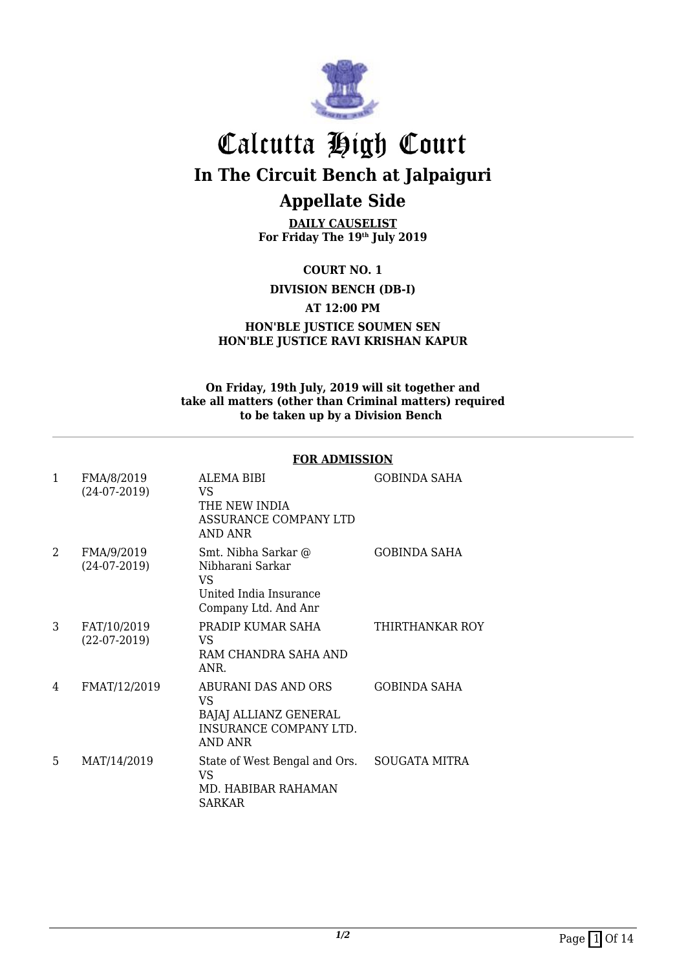

## Calcutta High Court **In The Circuit Bench at Jalpaiguri Appellate Side**

**DAILY CAUSELIST For Friday The 19th July 2019**

**COURT NO. 1**

**DIVISION BENCH (DB-I)**

**AT 12:00 PM**

**HON'BLE JUSTICE SOUMEN SEN HON'BLE JUSTICE RAVI KRISHAN KAPUR**

#### **On Friday, 19th July, 2019 will sit together and take all matters (other than Criminal matters) required to be taken up by a Division Bench**

#### **FOR ADMISSION**

| 1 | FMA/8/2019<br>$(24-07-2019)$  | ALEMA BIBI<br>VS.<br>THE NEW INDIA<br>ASSURANCE COMPANY LTD<br>AND ANR                          | <b>GOBINDA SAHA</b>  |
|---|-------------------------------|-------------------------------------------------------------------------------------------------|----------------------|
| 2 | FMA/9/2019<br>$(24-07-2019)$  | Smt. Nibha Sarkar @<br>Nibharani Sarkar<br>VS<br>United India Insurance<br>Company Ltd. And Anr | <b>GOBINDA SAHA</b>  |
| 3 | FAT/10/2019<br>$(22-07-2019)$ | PRADIP KUMAR SAHA<br>VS.<br>RAM CHANDRA SAHA AND<br>ANR.                                        | THIRTHANKAR ROY      |
| 4 | FMAT/12/2019                  | ABURANI DAS AND ORS<br>VS<br>BAJAJ ALLIANZ GENERAL<br>INSURANCE COMPANY LTD.<br>AND ANR         | <b>GOBINDA SAHA</b>  |
| 5 | MAT/14/2019                   | State of West Bengal and Ors.<br>VS<br>MD. HABIBAR RAHAMAN<br><b>SARKAR</b>                     | <b>SOUGATA MITRA</b> |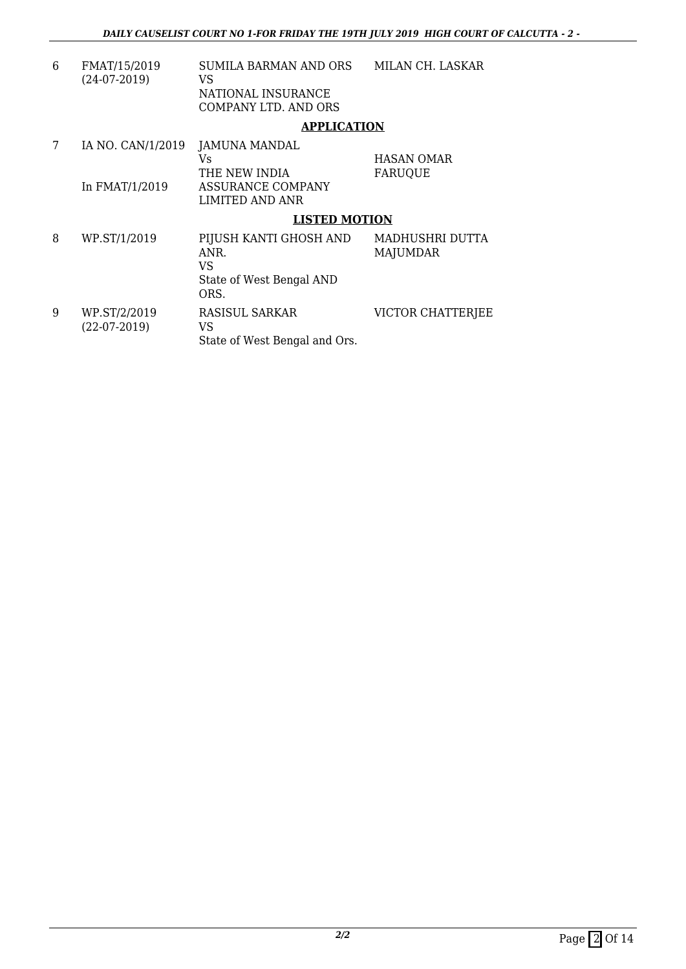| 6 | FMAT/15/2019<br>$(24-07-2019)$ | SUMILA BARMAN AND ORS<br>VS.<br>NATIONAL INSURANCE<br><b>COMPANY LTD. AND ORS</b> | MILAN CH. LASKAR                    |
|---|--------------------------------|-----------------------------------------------------------------------------------|-------------------------------------|
|   |                                | <b>APPLICATION</b>                                                                |                                     |
| 7 | IA NO. CAN/1/2019              | JAMUNA MANDAL<br>Vs<br>THE NEW INDIA                                              | <b>HASAN OMAR</b><br><b>FARUQUE</b> |
|   | In FMAT/1/2019                 | ASSURANCE COMPANY<br><b>LIMITED AND ANR</b>                                       |                                     |
|   |                                | <b>LISTED MOTION</b>                                                              |                                     |
| 8 | WP.ST/1/2019                   | PIJUSH KANTI GHOSH AND<br>ANR.<br>VS<br>State of West Bengal AND<br>ORS.          | MADHUSHRI DUTTA<br><b>MAJUMDAR</b>  |
| 9 | WP.ST/2/2019<br>$(22-07-2019)$ | RASISUL SARKAR<br>VS.<br>State of West Bengal and Ors.                            | VICTOR CHATTERJEE                   |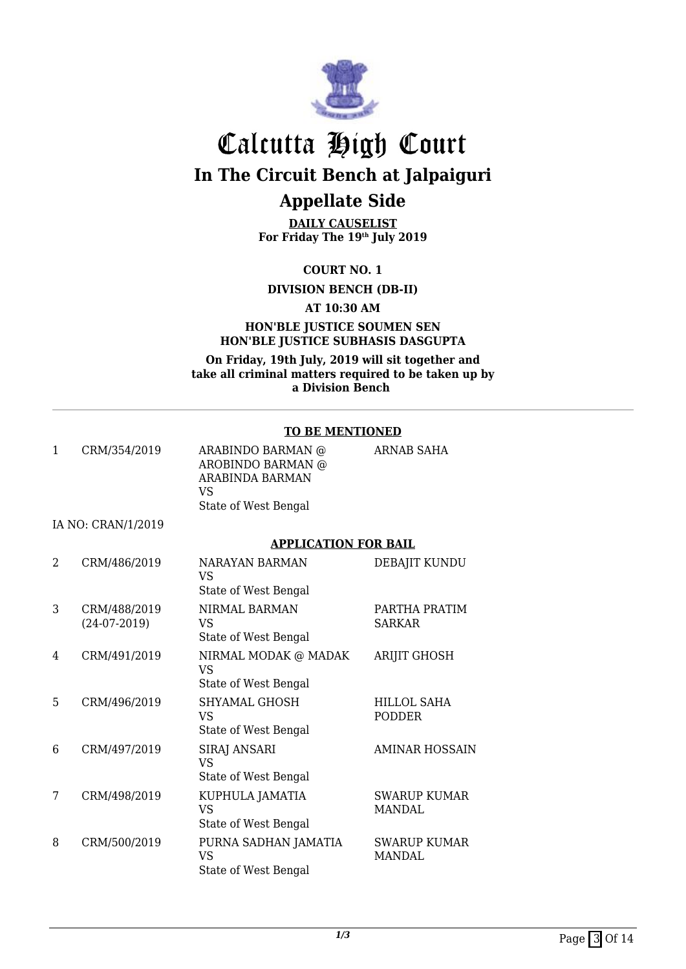

## Calcutta High Court **In The Circuit Bench at Jalpaiguri Appellate Side**

**DAILY CAUSELIST For Friday The 19th July 2019**

**COURT NO. 1**

**DIVISION BENCH (DB-II)**

**AT 10:30 AM**

#### **HON'BLE JUSTICE SOUMEN SEN HON'BLE JUSTICE SUBHASIS DASGUPTA**

**On Friday, 19th July, 2019 will sit together and take all criminal matters required to be taken up by a Division Bench** 

#### **TO BE MENTIONED**

|                |                    | TO DE MENTIONED                                                                         |                                      |
|----------------|--------------------|-----------------------------------------------------------------------------------------|--------------------------------------|
| $\mathbf{1}$   | CRM/354/2019       | ARABINDO BARMAN @<br>AROBINDO BARMAN @<br>ARABINDA BARMAN<br>VS<br>State of West Bengal | <b>ARNAB SAHA</b>                    |
|                | IA NO: CRAN/1/2019 |                                                                                         |                                      |
|                |                    |                                                                                         |                                      |
|                |                    | <b>APPLICATION FOR BAIL</b>                                                             |                                      |
| $\mathfrak{D}$ | CRM/486/2019       | <b>NARAYAN BARMAN</b><br><b>VS</b><br>State of West Bengal                              | DEBAJIT KUNDU                        |
| 3              | CRM/488/2019       | NIRMAL BARMAN                                                                           | PARTHA PRATIM                        |
|                | $(24-07-2019)$     | <b>VS</b>                                                                               | <b>SARKAR</b>                        |
|                |                    | State of West Bengal                                                                    |                                      |
| 4              | CRM/491/2019       | NIRMAL MODAK @ MADAK<br><b>VS</b>                                                       | <b>ARIJIT GHOSH</b>                  |
|                |                    | State of West Bengal                                                                    |                                      |
| 5              | CRM/496/2019       | <b>SHYAMAL GHOSH</b><br><b>VS</b>                                                       | <b>HILLOL SAHA</b><br><b>PODDER</b>  |
|                |                    | State of West Bengal                                                                    |                                      |
| 6              | CRM/497/2019       | <b>SIRAJ ANSARI</b><br><b>VS</b>                                                        | <b>AMINAR HOSSAIN</b>                |
|                |                    | State of West Bengal                                                                    |                                      |
| 7              | CRM/498/2019       | KUPHULA JAMATIA<br><b>VS</b>                                                            | <b>SWARUP KUMAR</b><br><b>MANDAL</b> |
|                |                    | State of West Bengal                                                                    |                                      |
| 8              | CRM/500/2019       | PURNA SADHAN JAMATIA<br><b>VS</b><br>State of West Bengal                               | <b>SWARUP KUMAR</b><br><b>MANDAL</b> |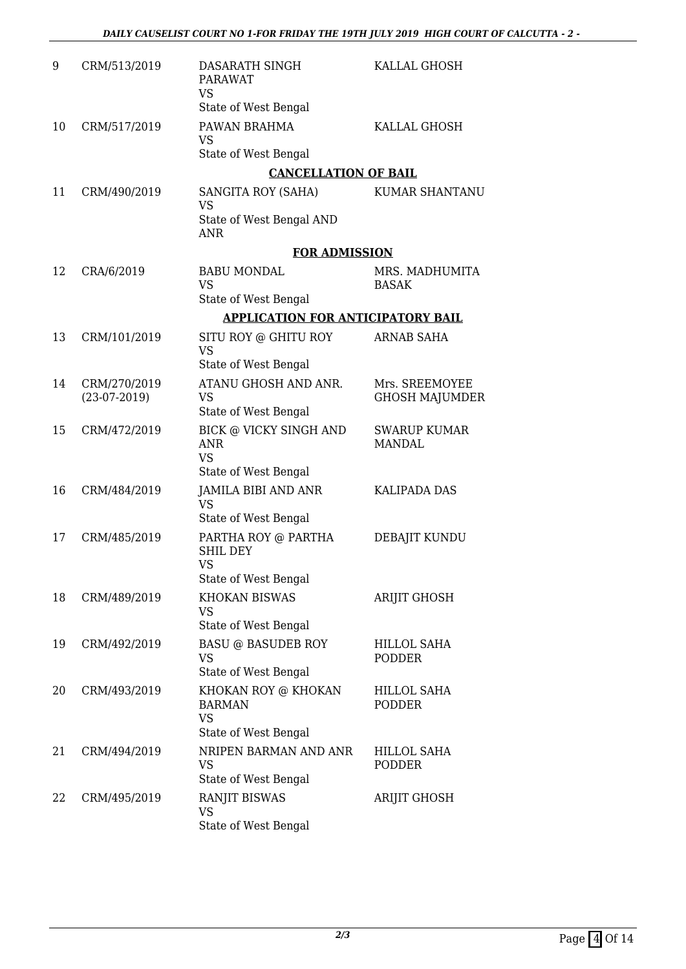| 9  | CRM/513/2019                   | DASARATH SINGH<br>PARAWAT<br><b>VS</b><br>State of West Bengal                                      | KALLAL GHOSH                            |
|----|--------------------------------|-----------------------------------------------------------------------------------------------------|-----------------------------------------|
| 10 | CRM/517/2019                   | PAWAN BRAHMA<br><b>VS</b><br>State of West Bengal                                                   | KALLAL GHOSH                            |
|    |                                | <b>CANCELLATION OF BAIL</b>                                                                         |                                         |
| 11 | CRM/490/2019                   | SANGITA ROY (SAHA)<br><b>VS</b>                                                                     | <b>KUMAR SHANTANU</b>                   |
|    |                                | State of West Bengal AND<br><b>ANR</b>                                                              |                                         |
|    |                                | <b>FOR ADMISSION</b>                                                                                |                                         |
| 12 | CRA/6/2019                     | <b>BABU MONDAL</b><br><b>VS</b><br>State of West Bengal                                             | MRS. MADHUMITA<br><b>BASAK</b>          |
|    |                                | <b>APPLICATION FOR ANTICIPATORY BAIL</b>                                                            |                                         |
| 13 | CRM/101/2019                   | SITU ROY @ GHITU ROY<br><b>VS</b>                                                                   | <b>ARNAB SAHA</b>                       |
|    |                                | State of West Bengal                                                                                |                                         |
| 14 | CRM/270/2019<br>$(23-07-2019)$ | ATANU GHOSH AND ANR.<br><b>VS</b><br>State of West Bengal                                           | Mrs. SREEMOYEE<br><b>GHOSH MAJUMDER</b> |
| 15 | CRM/472/2019                   | <b>BICK @ VICKY SINGH AND</b><br><b>ANR</b><br><b>VS</b><br>State of West Bengal                    | <b>SWARUP KUMAR</b><br><b>MANDAL</b>    |
| 16 | CRM/484/2019                   | JAMILA BIBI AND ANR<br><b>VS</b>                                                                    | <b>KALIPADA DAS</b>                     |
| 17 | CRM/485/2019                   | State of West Bengal<br>PARTHA ROY @ PARTHA<br><b>SHIL DEY</b><br><b>VS</b><br>State of West Bengal | DEBAJIT KUNDU                           |
| 18 | CRM/489/2019                   | <b>KHOKAN BISWAS</b><br><b>VS</b><br>State of West Bengal                                           | ARIJIT GHOSH                            |
| 19 | CRM/492/2019                   | <b>BASU @ BASUDEB ROY</b><br><b>VS</b><br>State of West Bengal                                      | <b>HILLOL SAHA</b><br><b>PODDER</b>     |
| 20 | CRM/493/2019                   | KHOKAN ROY @ KHOKAN<br><b>BARMAN</b><br><b>VS</b>                                                   | <b>HILLOL SAHA</b><br><b>PODDER</b>     |
|    |                                | State of West Bengal                                                                                |                                         |
| 21 | CRM/494/2019                   | NRIPEN BARMAN AND ANR<br><b>VS</b><br>State of West Bengal                                          | <b>HILLOL SAHA</b><br>PODDER            |
| 22 | CRM/495/2019                   | RANJIT BISWAS<br><b>VS</b><br>State of West Bengal                                                  | ARIJIT GHOSH                            |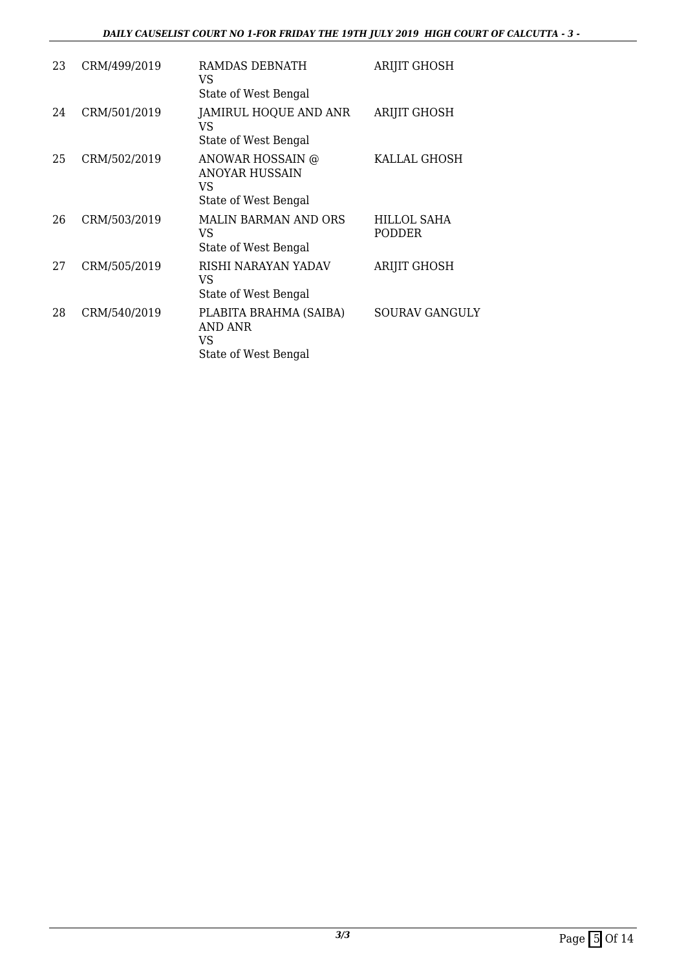#### *DAILY CAUSELIST COURT NO 1-FOR FRIDAY THE 19TH JULY 2019 HIGH COURT OF CALCUTTA - 3 -*

| 23 | CRM/499/2019 | RAMDAS DEBNATH<br>VS.<br>State of West Bengal                            | <b>ARIJIT GHOSH</b>          |
|----|--------------|--------------------------------------------------------------------------|------------------------------|
| 24 | CRM/501/2019 | JAMIRUL HOQUE AND ANR<br>VS<br>State of West Bengal                      | <b>ARIJIT GHOSH</b>          |
| 25 | CRM/502/2019 | ANOWAR HOSSAIN @<br><b>ANOYAR HUSSAIN</b><br>VS.<br>State of West Bengal | KALLAL GHOSH                 |
| 26 | CRM/503/2019 | MALIN BARMAN AND ORS<br>VS.<br>State of West Bengal                      | <b>HILLOL SAHA</b><br>PODDER |
| 27 | CRM/505/2019 | RISHI NARAYAN YADAV<br>VS<br>State of West Bengal                        | ARIJIT GHOSH                 |
| 28 | CRM/540/2019 | PLABITA BRAHMA (SAIBA)<br>AND ANR<br>VS.<br>State of West Bengal         | <b>SOURAV GANGULY</b>        |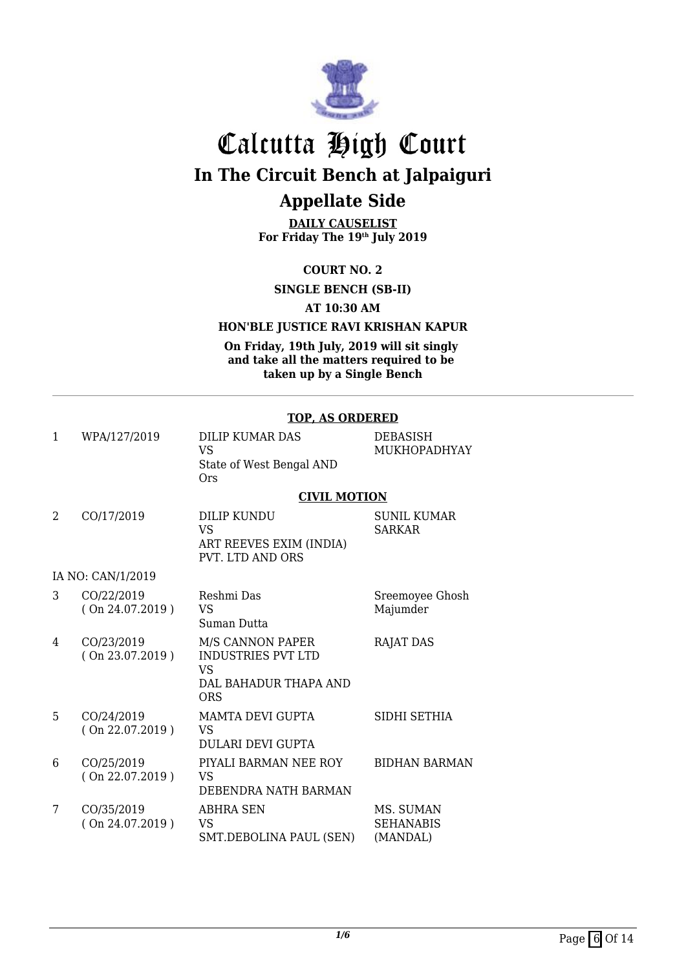

## Calcutta High Court **In The Circuit Bench at Jalpaiguri Appellate Side**

**DAILY CAUSELIST For Friday The 19th July 2019**

**COURT NO. 2**

**SINGLE BENCH (SB-II)**

**AT 10:30 AM**

#### **HON'BLE JUSTICE RAVI KRISHAN KAPUR**

**On Friday, 19th July, 2019 will sit singly and take all the matters required to be taken up by a Single Bench**

#### **TOP, AS ORDERED**

| $\mathbf{1}$ | WPA/127/2019                  | <b>DILIP KUMAR DAS</b><br><b>VS</b><br>State of West Bengal AND<br><b>Ors</b>                     | <b>DEBASISH</b><br>MUKHOPADHYAY           |
|--------------|-------------------------------|---------------------------------------------------------------------------------------------------|-------------------------------------------|
|              |                               | <b>CIVIL MOTION</b>                                                                               |                                           |
| 2            | CO/17/2019                    | <b>DILIP KUNDU</b><br>VS.<br>ART REEVES EXIM (INDIA)<br><b>PVT. LTD AND ORS</b>                   | <b>SUNIL KUMAR</b><br><b>SARKAR</b>       |
|              | IA NO: CAN/1/2019             |                                                                                                   |                                           |
| 3            | CO/22/2019<br>(On 24.07.2019) | Reshmi Das<br><b>VS</b><br>Suman Dutta                                                            | Sreemoyee Ghosh<br>Majumder               |
| 4            | CO/23/2019<br>(On 23.07.2019) | M/S CANNON PAPER<br><b>INDUSTRIES PVT LTD</b><br><b>VS</b><br>DAL BAHADUR THAPA AND<br><b>ORS</b> | <b>RAJAT DAS</b>                          |
| 5            | CO/24/2019<br>(On 22.07.2019) | <b>MAMTA DEVI GUPTA</b><br><b>VS</b><br><b>DULARI DEVI GUPTA</b>                                  | SIDHI SETHIA                              |
| 6            | CO/25/2019<br>(On 22.07.2019) | PIYALI BARMAN NEE ROY<br><b>VS</b><br>DEBENDRA NATH BARMAN                                        | <b>BIDHAN BARMAN</b>                      |
| 7            | CO/35/2019<br>(On 24.07.2019) | ABHRA SEN<br><b>VS</b><br>SMT.DEBOLINA PAUL (SEN)                                                 | MS. SUMAN<br><b>SEHANABIS</b><br>(MANDAL) |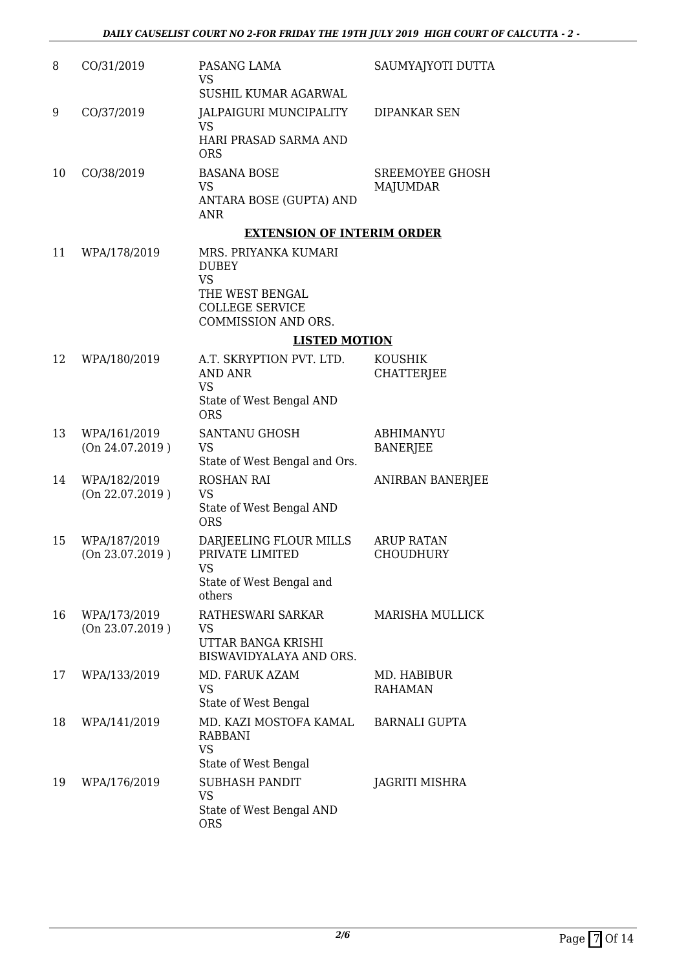| 8  | CO/31/2019                      | PASANG LAMA<br>VS<br>SUSHIL KUMAR AGARWAL                                                                                    | SAUMYAJYOTI DUTTA                     |
|----|---------------------------------|------------------------------------------------------------------------------------------------------------------------------|---------------------------------------|
| 9  | CO/37/2019                      | JALPAIGURI MUNCIPALITY<br>VS<br>HARI PRASAD SARMA AND<br><b>ORS</b>                                                          | DIPANKAR SEN                          |
| 10 | CO/38/2019                      | <b>BASANA BOSE</b><br>VS<br>ANTARA BOSE (GUPTA) AND<br><b>ANR</b>                                                            | SREEMOYEE GHOSH<br><b>MAJUMDAR</b>    |
|    |                                 | <b>EXTENSION OF INTERIM ORDER</b>                                                                                            |                                       |
| 11 | WPA/178/2019                    | MRS. PRIYANKA KUMARI<br><b>DUBEY</b><br><b>VS</b><br>THE WEST BENGAL<br><b>COLLEGE SERVICE</b><br><b>COMMISSION AND ORS.</b> |                                       |
|    |                                 | <b>LISTED MOTION</b>                                                                                                         |                                       |
| 12 | WPA/180/2019                    | A.T. SKRYPTION PVT. LTD.                                                                                                     | <b>KOUSHIK</b>                        |
|    |                                 | <b>AND ANR</b><br>VS<br>State of West Bengal AND<br><b>ORS</b>                                                               | <b>CHATTERJEE</b>                     |
| 13 | WPA/161/2019<br>(On 24.07.2019) | SANTANU GHOSH<br>VS<br>State of West Bengal and Ors.                                                                         | <b>ABHIMANYU</b><br><b>BANERJEE</b>   |
| 14 | WPA/182/2019<br>(On 22.07.2019) | <b>ROSHAN RAI</b><br>VS<br>State of West Bengal AND<br><b>ORS</b>                                                            | ANIRBAN BANERJEE                      |
| 15 | WPA/187/2019<br>(On 23.07.2019) | DARJEELING FLOUR MILLS<br>PRIVATE LIMITED<br>VS<br>State of West Bengal and<br>others                                        | <b>ARUP RATAN</b><br><b>CHOUDHURY</b> |
| 16 | WPA/173/2019<br>(On 23.07.2019) | RATHESWARI SARKAR<br>VS<br>UTTAR BANGA KRISHI<br>BISWAVIDYALAYA AND ORS.                                                     | <b>MARISHA MULLICK</b>                |
| 17 | WPA/133/2019                    | MD. FARUK AZAM<br>VS<br>State of West Bengal                                                                                 | MD. HABIBUR<br><b>RAHAMAN</b>         |
| 18 | WPA/141/2019                    | MD. KAZI MOSTOFA KAMAL<br><b>RABBANI</b><br>VS                                                                               | <b>BARNALI GUPTA</b>                  |
| 19 | WPA/176/2019                    | State of West Bengal<br><b>SUBHASH PANDIT</b><br>VS<br>State of West Bengal AND<br><b>ORS</b>                                | <b>JAGRITI MISHRA</b>                 |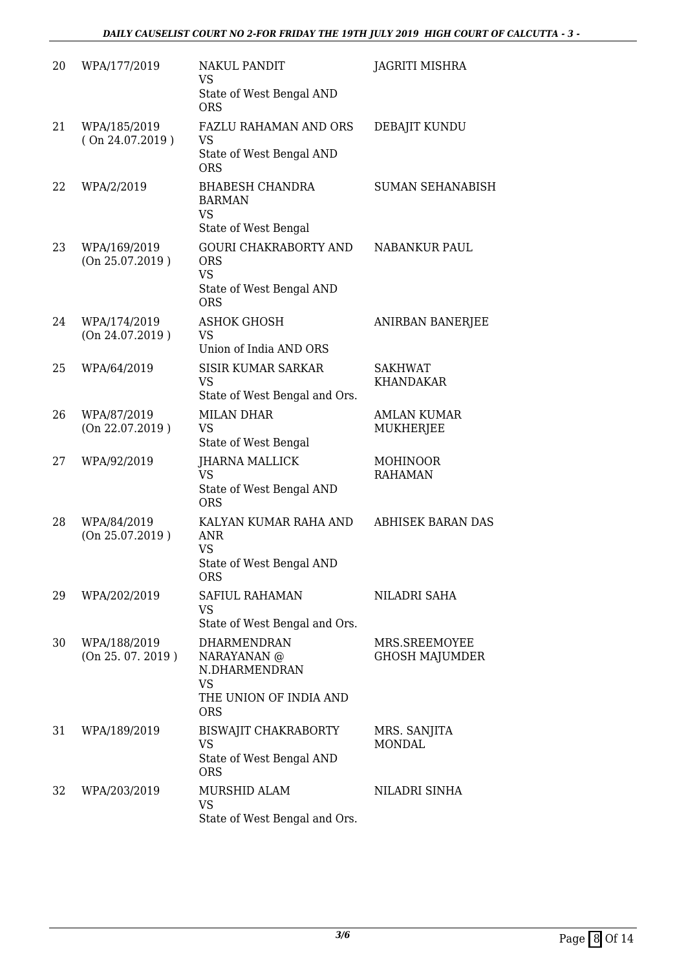| 20 | WPA/177/2019                      | <b>NAKUL PANDIT</b><br><b>VS</b><br>State of West Bengal AND                                            | JAGRITI MISHRA                         |
|----|-----------------------------------|---------------------------------------------------------------------------------------------------------|----------------------------------------|
| 21 | WPA/185/2019<br>(On 24.07.2019)   | <b>ORS</b><br><b>FAZLU RAHAMAN AND ORS</b><br><b>VS</b><br>State of West Bengal AND<br><b>ORS</b>       | DEBAJIT KUNDU                          |
| 22 | WPA/2/2019                        | <b>BHABESH CHANDRA</b><br><b>BARMAN</b><br><b>VS</b><br>State of West Bengal                            | <b>SUMAN SEHANABISH</b>                |
| 23 | WPA/169/2019<br>(On 25.07.2019)   | <b>GOURI CHAKRABORTY AND</b><br><b>ORS</b><br><b>VS</b><br>State of West Bengal AND<br><b>ORS</b>       | <b>NABANKUR PAUL</b>                   |
| 24 | WPA/174/2019<br>(On 24.07.2019)   | <b>ASHOK GHOSH</b><br><b>VS</b><br>Union of India AND ORS                                               | <b>ANIRBAN BANERJEE</b>                |
| 25 | WPA/64/2019                       | <b>SISIR KUMAR SARKAR</b><br><b>VS</b><br>State of West Bengal and Ors.                                 | <b>SAKHWAT</b><br><b>KHANDAKAR</b>     |
| 26 | WPA/87/2019<br>(On 22.07.2019)    | <b>MILAN DHAR</b><br><b>VS</b><br>State of West Bengal                                                  | <b>AMLAN KUMAR</b><br><b>MUKHERJEE</b> |
| 27 | WPA/92/2019                       | JHARNA MALLICK<br><b>VS</b><br>State of West Bengal AND<br><b>ORS</b>                                   | <b>MOHINOOR</b><br><b>RAHAMAN</b>      |
| 28 | WPA/84/2019<br>(On 25.07.2019)    | KALYAN KUMAR RAHA AND<br><b>ANR</b><br><b>VS</b><br>State of West Bengal AND<br><b>ORS</b>              | <b>ABHISEK BARAN DAS</b>               |
| 29 | WPA/202/2019                      | SAFIUL RAHAMAN<br>VS<br>State of West Bengal and Ors.                                                   | NILADRI SAHA                           |
| 30 | WPA/188/2019<br>(On 25. 07. 2019) | <b>DHARMENDRAN</b><br>NARAYANAN @<br>N.DHARMENDRAN<br><b>VS</b><br>THE UNION OF INDIA AND<br><b>ORS</b> | MRS.SREEMOYEE<br><b>GHOSH MAJUMDER</b> |
| 31 | WPA/189/2019                      | <b>BISWAJIT CHAKRABORTY</b><br><b>VS</b><br>State of West Bengal AND<br><b>ORS</b>                      | MRS. SANJITA<br><b>MONDAL</b>          |
| 32 | WPA/203/2019                      | MURSHID ALAM<br><b>VS</b><br>State of West Bengal and Ors.                                              | NILADRI SINHA                          |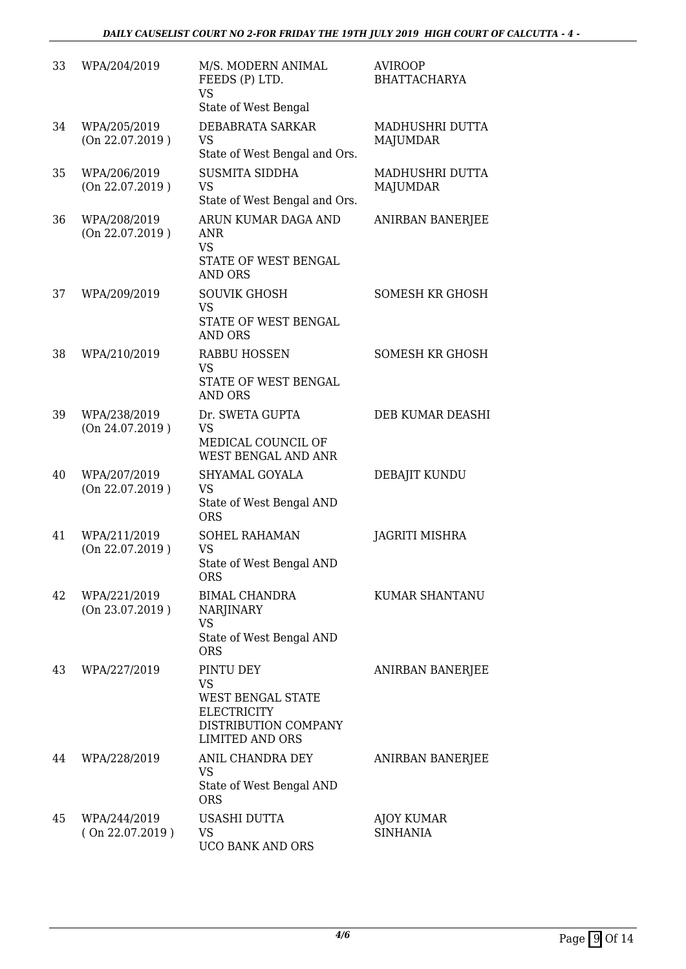| 33 | WPA/204/2019                    | M/S. MODERN ANIMAL<br>FEEDS (P) LTD.<br><b>VS</b><br>State of West Bengal                                           | <b>AVIROOP</b><br><b>BHATTACHARYA</b> |
|----|---------------------------------|---------------------------------------------------------------------------------------------------------------------|---------------------------------------|
| 34 | WPA/205/2019<br>(On 22.07.2019) | <b>DEBABRATA SARKAR</b><br><b>VS</b><br>State of West Bengal and Ors.                                               | MADHUSHRI DUTTA<br><b>MAJUMDAR</b>    |
| 35 | WPA/206/2019<br>(On 22.07.2019) | <b>SUSMITA SIDDHA</b><br><b>VS</b><br>State of West Bengal and Ors.                                                 | MADHUSHRI DUTTA<br><b>MAJUMDAR</b>    |
| 36 | WPA/208/2019<br>(On 22.07.2019) | ARUN KUMAR DAGA AND<br>ANR<br><b>VS</b><br>STATE OF WEST BENGAL<br><b>AND ORS</b>                                   | ANIRBAN BANERJEE                      |
| 37 | WPA/209/2019                    | <b>SOUVIK GHOSH</b><br><b>VS</b><br><b>STATE OF WEST BENGAL</b><br><b>AND ORS</b>                                   | <b>SOMESH KR GHOSH</b>                |
| 38 | WPA/210/2019                    | <b>RABBU HOSSEN</b><br><b>VS</b><br>STATE OF WEST BENGAL<br><b>AND ORS</b>                                          | <b>SOMESH KR GHOSH</b>                |
| 39 | WPA/238/2019<br>(On 24.07.2019) | Dr. SWETA GUPTA<br><b>VS</b><br>MEDICAL COUNCIL OF<br>WEST BENGAL AND ANR                                           | DEB KUMAR DEASHI                      |
| 40 | WPA/207/2019<br>(On 22.07.2019) | SHYAMAL GOYALA<br><b>VS</b><br>State of West Bengal AND<br><b>ORS</b>                                               | DEBAJIT KUNDU                         |
| 41 | WPA/211/2019<br>(On 22.07.2019) | SOHEL RAHAMAN<br><b>VS</b><br>State of West Bengal AND<br>ORS                                                       | JAGRITI MISHRA                        |
| 42 | WPA/221/2019<br>(On 23.07.2019) | <b>BIMAL CHANDRA</b><br><b>NARJINARY</b><br><b>VS</b><br>State of West Bengal AND<br><b>ORS</b>                     | KUMAR SHANTANU                        |
| 43 | WPA/227/2019                    | PINTU DEY<br>VS<br><b>WEST BENGAL STATE</b><br><b>ELECTRICITY</b><br>DISTRIBUTION COMPANY<br><b>LIMITED AND ORS</b> | ANIRBAN BANERJEE                      |
| 44 | WPA/228/2019                    | ANIL CHANDRA DEY<br><b>VS</b><br>State of West Bengal AND<br><b>ORS</b>                                             | ANIRBAN BANERJEE                      |
| 45 | WPA/244/2019<br>(On 22.07.2019) | USASHI DUTTA<br><b>VS</b><br>UCO BANK AND ORS                                                                       | <b>AJOY KUMAR</b><br><b>SINHANIA</b>  |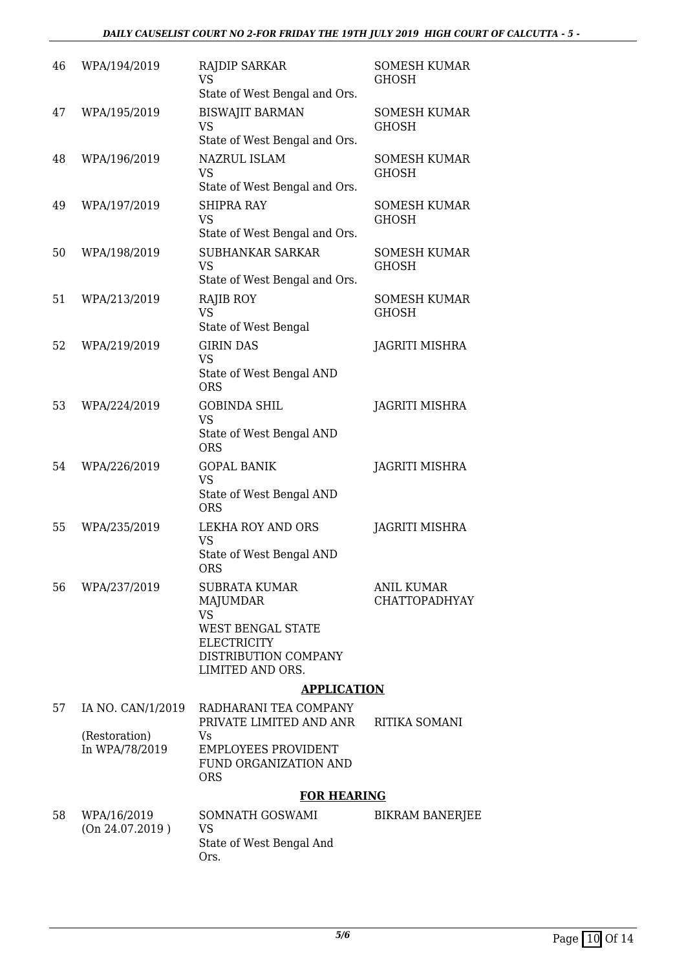| 46 | WPA/194/2019                    | <b>RAJDIP SARKAR</b><br><b>VS</b><br>State of West Bengal and Ors.                                                                   | <b>SOMESH KUMAR</b><br>GHOSH              |
|----|---------------------------------|--------------------------------------------------------------------------------------------------------------------------------------|-------------------------------------------|
| 47 | WPA/195/2019                    | <b>BISWAJIT BARMAN</b><br><b>VS</b><br>State of West Bengal and Ors.                                                                 | <b>SOMESH KUMAR</b><br><b>GHOSH</b>       |
| 48 | WPA/196/2019                    | <b>NAZRUL ISLAM</b><br><b>VS</b><br>State of West Bengal and Ors.                                                                    | <b>SOMESH KUMAR</b><br><b>GHOSH</b>       |
| 49 | WPA/197/2019                    | <b>SHIPRA RAY</b><br><b>VS</b><br>State of West Bengal and Ors.                                                                      | <b>SOMESH KUMAR</b><br><b>GHOSH</b>       |
| 50 | WPA/198/2019                    | <b>SUBHANKAR SARKAR</b><br><b>VS</b><br>State of West Bengal and Ors.                                                                | <b>SOMESH KUMAR</b><br><b>GHOSH</b>       |
| 51 | WPA/213/2019                    | <b>RAJIB ROY</b><br><b>VS</b><br>State of West Bengal                                                                                | <b>SOMESH KUMAR</b><br><b>GHOSH</b>       |
| 52 | WPA/219/2019                    | <b>GIRIN DAS</b><br><b>VS</b><br>State of West Bengal AND<br><b>ORS</b>                                                              | <b>JAGRITI MISHRA</b>                     |
| 53 | WPA/224/2019                    | <b>GOBINDA SHIL</b><br><b>VS</b><br>State of West Bengal AND<br><b>ORS</b>                                                           | JAGRITI MISHRA                            |
| 54 | WPA/226/2019                    | <b>GOPAL BANIK</b><br><b>VS</b><br>State of West Bengal AND<br><b>ORS</b>                                                            | <b>JAGRITI MISHRA</b>                     |
| 55 | WPA/235/2019                    | LEKHA ROY AND ORS<br><b>VS</b><br>State of West Bengal AND<br><b>ORS</b>                                                             | <b>JAGRITI MISHRA</b>                     |
| 56 | WPA/237/2019                    | SUBRATA KUMAR<br><b>MAJUMDAR</b><br><b>VS</b><br>WEST BENGAL STATE<br><b>ELECTRICITY</b><br>DISTRIBUTION COMPANY<br>LIMITED AND ORS. | <b>ANIL KUMAR</b><br><b>CHATTOPADHYAY</b> |
|    |                                 | <b>APPLICATION</b>                                                                                                                   |                                           |
| 57 | IA NO. CAN/1/2019               | RADHARANI TEA COMPANY<br>PRIVATE LIMITED AND ANR                                                                                     | RITIKA SOMANI                             |
|    | (Restoration)<br>In WPA/78/2019 | Vs<br><b>EMPLOYEES PROVIDENT</b><br><b>FUND ORGANIZATION AND</b><br><b>ORS</b>                                                       |                                           |
|    |                                 | <b>FOR HEARING</b>                                                                                                                   |                                           |
| 58 | WPA/16/2019<br>(On 24.07.2019)  | SOMNATH GOSWAMI<br><b>VS</b><br>State of West Bengal And                                                                             | <b>BIKRAM BANERJEE</b>                    |

Ors.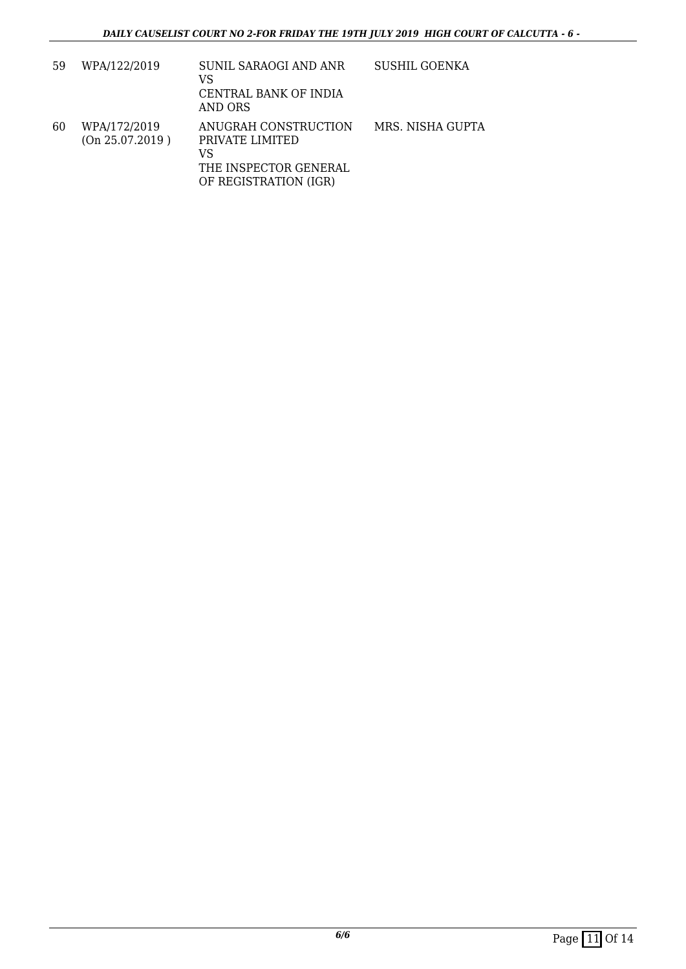| 59 | WPA/122/2019                    | SUNIL SARAOGI AND ANR<br>VS<br>CENTRAL BANK OF INDIA<br>AND ORS                                 | <b>SUSHIL GOENKA</b> |
|----|---------------------------------|-------------------------------------------------------------------------------------------------|----------------------|
| 60 | WPA/172/2019<br>(On 25.07.2019) | ANUGRAH CONSTRUCTION<br>PRIVATE LIMITED<br>VS<br>THE INSPECTOR GENERAL<br>OF REGISTRATION (IGR) | MRS. NISHA GUPTA     |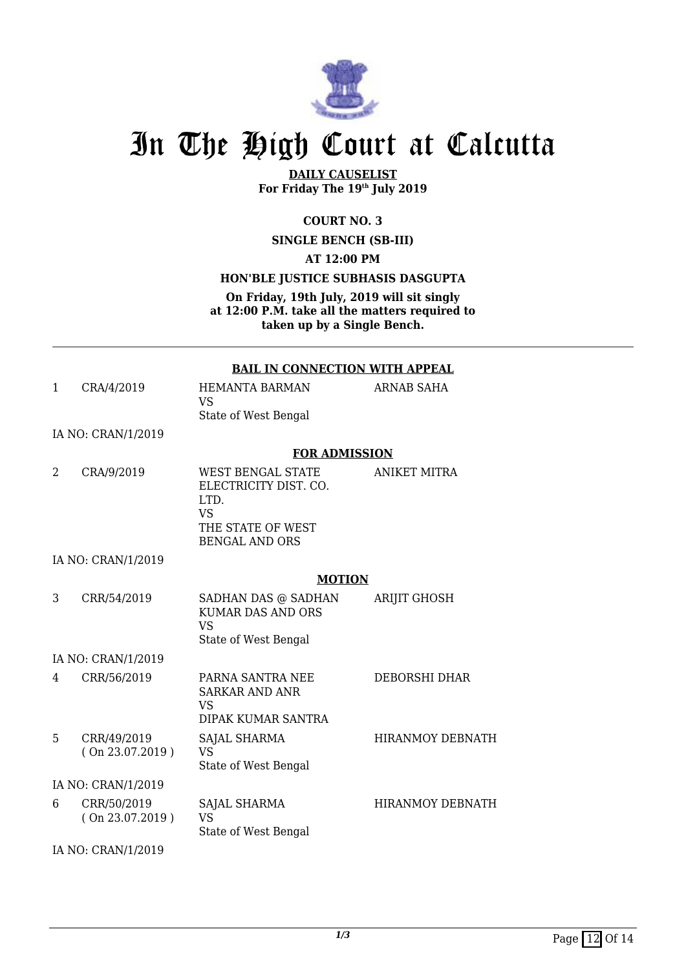

# In The High Court at Calcutta

**DAILY CAUSELIST For Friday The 19th July 2019**

**COURT NO. 3**

**SINGLE BENCH (SB-III)**

**AT 12:00 PM**

**HON'BLE JUSTICE SUBHASIS DASGUPTA**

**On Friday, 19th July, 2019 will sit singly at 12:00 P.M. take all the matters required to taken up by a Single Bench.**

#### **BAIL IN CONNECTION WITH APPEAL**

ARNAB SAHA

1 CRA/4/2019 HEMANTA BARMAN VS State of West Bengal

IA NO: CRAN/1/2019

#### **FOR ADMISSION**

2 CRA/9/2019 WEST BENGAL STATE ELECTRICITY DIST. CO. LTD. VS THE STATE OF WEST BENGAL AND ORS ANIKET MITRA

IA NO: CRAN/1/2019

#### **MOTION**

3 CRR/54/2019 SADHAN DAS @ SADHAN KUMAR DAS AND ORS VS State of West Bengal ARIJIT GHOSH IA NO: CRAN/1/2019 4 CRR/56/2019 PARNA SANTRA NEE SARKAR AND ANR VS DIPAK KUMAR SANTRA DEBORSHI DHAR 5 CRR/49/2019 ( On 23.07.2019 ) SAJAL SHARMA VS HIRANMOY DEBNATH

State of West Bengal IA NO: CRAN/1/2019 6 CRR/50/2019 ( On 23.07.2019 ) SAJAL SHARMA VS State of West Bengal HIRANMOY DEBNATH

IA NO: CRAN/1/2019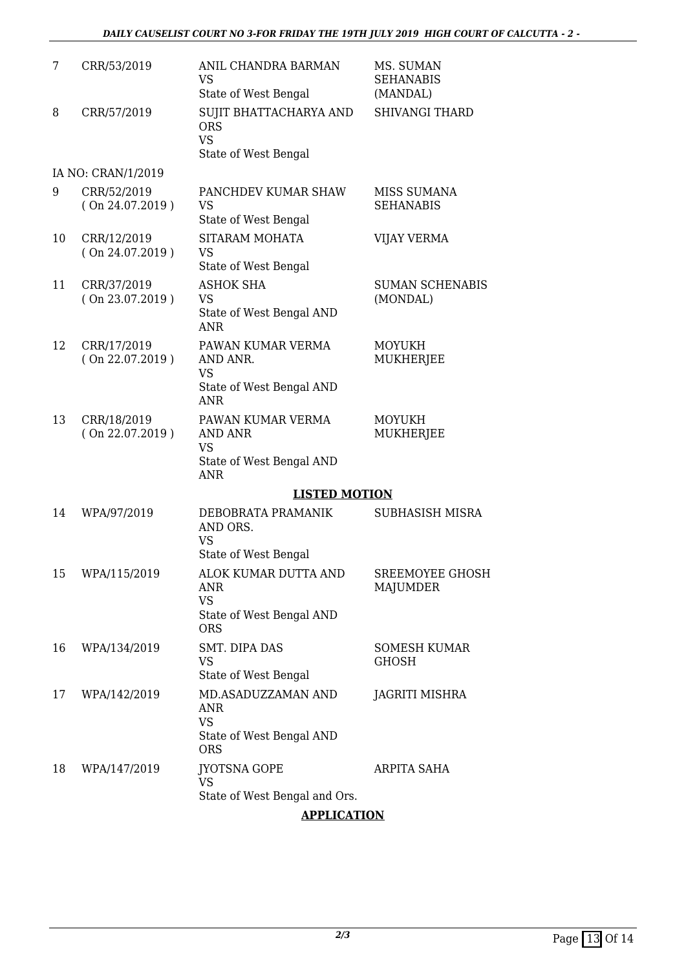| 7  | CRR/53/2019                    | ANIL CHANDRA BARMAN<br><b>VS</b><br>State of West Bengal                                     | MS. SUMAN<br><b>SEHANABIS</b><br>(MANDAL) |
|----|--------------------------------|----------------------------------------------------------------------------------------------|-------------------------------------------|
| 8  | CRR/57/2019                    | SUJIT BHATTACHARYA AND<br><b>ORS</b><br><b>VS</b><br>State of West Bengal                    | <b>SHIVANGI THARD</b>                     |
|    | IA NO: CRAN/1/2019             |                                                                                              |                                           |
| 9  | CRR/52/2019<br>(On 24.07.2019) | PANCHDEV KUMAR SHAW<br><b>VS</b><br>State of West Bengal                                     | <b>MISS SUMANA</b><br><b>SEHANABIS</b>    |
| 10 | CRR/12/2019<br>(On 24.07.2019) | SITARAM MOHATA<br><b>VS</b><br>State of West Bengal                                          | <b>VIJAY VERMA</b>                        |
| 11 | CRR/37/2019<br>(On 23.07.2019) | <b>ASHOK SHA</b><br><b>VS</b><br>State of West Bengal AND<br><b>ANR</b>                      | <b>SUMAN SCHENABIS</b><br>(MONDAL)        |
| 12 | CRR/17/2019<br>(On 22.07.2019) | PAWAN KUMAR VERMA<br>AND ANR.<br><b>VS</b><br>State of West Bengal AND<br><b>ANR</b>         | <b>MOYUKH</b><br>MUKHERJEE                |
| 13 | CRR/18/2019<br>(On 22.07.2019) | PAWAN KUMAR VERMA<br><b>AND ANR</b><br><b>VS</b><br>State of West Bengal AND<br><b>ANR</b>   | <b>MOYUKH</b><br>MUKHERJEE                |
|    |                                | <b>LISTED MOTION</b>                                                                         |                                           |
| 14 | WPA/97/2019                    | DEBOBRATA PRAMANIK<br>AND ORS.<br><b>VS</b>                                                  | <b>SUBHASISH MISRA</b>                    |
|    | 15 WPA/115/2019                | State of West Bengal<br>ALOK KUMAR DUTTA AND<br>ANR<br><b>VS</b><br>State of West Bengal AND | <b>SREEMOYEE GHOSH</b><br>MAJUMDER        |
| 16 | WPA/134/2019                   | <b>ORS</b><br>SMT. DIPA DAS<br><b>VS</b><br>State of West Bengal                             | <b>SOMESH KUMAR</b><br><b>GHOSH</b>       |
| 17 | WPA/142/2019                   | MD.ASADUZZAMAN AND<br>ANR<br><b>VS</b><br>State of West Bengal AND<br><b>ORS</b>             | <b>JAGRITI MISHRA</b>                     |
| 18 | WPA/147/2019                   | <b>JYOTSNA GOPE</b><br><b>VS</b><br>State of West Bengal and Ors.                            | ARPITA SAHA                               |

#### **APPLICATION**